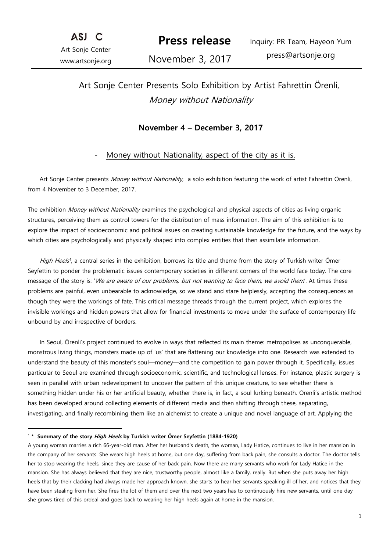ASJ C Art Sonje Center www.artsonje.org

 **Press release** 

Inquiry: PR Team, Hayeon Yum press@artsonje.org

## November 3, 2017

# Art Sonje Center Presents Solo Exhibition by Artist Fahrettin Örenli, Money without Nationality

## **November 4 – December 3, 2017**

## Money without Nationality, aspect of the city as it is.

Art Sonje Center presents Money without Nationality, a solo exhibition featuring the work of artist Fahrettin Örenli, from 4 November to 3 December, 2017.

The exhibition Money without Nationality examines the psychological and physical aspects of cities as living organic structures, perceiving them as control towers for the distribution of mass information. The aim of this exhibition is to explore the impact of socioeconomic and political issues on creating sustainable knowledge for the future, and the ways by which cities are psychologically and physically shaped into complex entities that then assimilate information.

High Heels<sup>1</sup>, a central series in the exhibition, borrows its title and theme from the story of Turkish writer Ömer Seyfettin to ponder the problematic issues contemporary societies in different corners of the world face today. The core message of the story is: 'We are aware of our problems, but not wanting to face them, we avoid them'. At times these problems are painful, even unbearable to acknowledge, so we stand and stare helplessly, accepting the consequences as though they were the workings of fate. This critical message threads through the current project, which explores the invisible workings and hidden powers that allow for financial investments to move under the surface of contemporary life unbound by and irrespective of borders.

In Seoul, Örenli's project continued to evolve in ways that reflected its main theme: metropolises as unconquerable, monstrous living things, monsters made up of 'us' that are flattening our knowledge into one. Research was extended to understand the beauty of this monster's soul—money—and the competition to gain power through it. Specifically, issues particular to Seoul are examined through socioeconomic, scientific, and technological lenses. For instance, plastic surgery is seen in parallel with urban redevelopment to uncover the pattern of this unique creature, to see whether there is something hidden under his or her artificial beauty, whether there is, in fact, a soul lurking beneath. Örenli's artistic method has been developed around collecting elements of different media and then shifting through these, separating, investigating, and finally recombining them like an alchemist to create a unique and novel language of art. Applying the

<sup>1 \*</sup> **Summary of the story High Heels by Turkish writer Ömer Seyfettin (1884-1920)**

A young woman marries a rich 66-year-old man. After her husband's death, the woman, Lady Hatice, continues to live in her mansion in the company of her servants. She wears high heels at home, but one day, suffering from back pain, she consults a doctor. The doctor tells her to stop wearing the heels, since they are cause of her back pain. Now there are many servants who work for Lady Hatice in the mansion. She has always believed that they are nice, trustworthy people, almost like a family, really. But when she puts away her high heels that by their clacking had always made her approach known, she starts to hear her servants speaking ill of her, and notices that they have been stealing from her. She fires the lot of them and over the next two years has to continuously hire new servants, until one day she grows tired of this ordeal and goes back to wearing her high heels again at home in the mansion.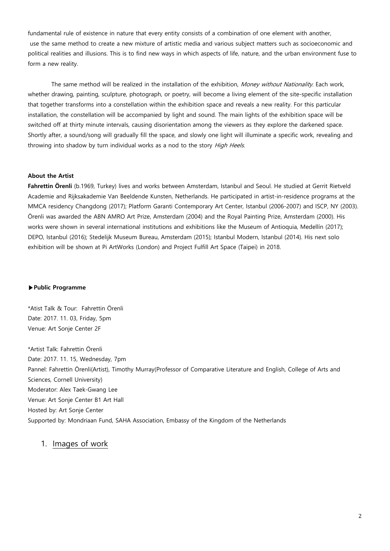fundamental rule of existence in nature that every entity consists of a combination of one element with another, use the same method to create a new mixture of artistic media and various subject matters such as socioeconomic and political realities and illusions. This is to find new ways in which aspects of life, nature, and the urban environment fuse to form a new reality.

The same method will be realized in the installation of the exhibition, Money without Nationality. Each work, whether drawing, painting, sculpture, photograph, or poetry, will become a living element of the site-specific installation that together transforms into a constellation within the exhibition space and reveals a new reality. For this particular installation, the constellation will be accompanied by light and sound. The main lights of the exhibition space will be switched off at thirty minute intervals, causing disorientation among the viewers as they explore the darkened space. Shortly after, a sound/song will gradually fill the space, and slowly one light will illuminate a specific work, revealing and throwing into shadow by turn individual works as a nod to the story High Heels.

#### **About the Artist**

**Fahrettin Örenli** (b.1969, Turkey) lives and works between Amsterdam, Istanbul and Seoul. He studied at Gerrit Rietveld Academie and Rijksakademie Van Beeldende Kunsten, Netherlands. He participated in artist-in-residence programs at the MMCA residency Changdong (2017); Platform Garanti Contemporary Art Center, Istanbul (2006-2007) and ISCP, NY (2003). Örenli was awarded the ABN AMRO Art Prize, Amsterdam (2004) and the Royal Painting Prize, Amsterdam (2000). His works were shown in several international institutions and exhibitions like the Museum of Antioquia, Medellín (2017); DEPO, Istanbul (2016); Stedelijk Museum Bureau, Amsterdam (2015); Istanbul Modern, Istanbul (2014). His next solo exhibition will be shown at Pi ArtWorks (London) and Project Fulfill Art Space (Taipei) in 2018.

#### **▶Public Programme**

\*Atist Talk & Tour: Fahrettin Örenli Date: 2017. 11. 03, Friday, 5pm Venue: Art Sonje Center 2F

\*Artist Talk: Fahrettin Örenli Date: 2017. 11. 15, Wednesday, 7pm Pannel: Fahrettin Örenli(Artist), Timothy Murray(Professor of Comparative Literature and English, College of Arts and Sciences, Cornell University) Moderator: Alex Taek-Gwang Lee Venue: Art Sonje Center B1 Art Hall Hosted by: Art Sonje Center Supported by: Mondriaan Fund, SAHA Association, Embassy of the Kingdom of the Netherlands

### 1. Images of work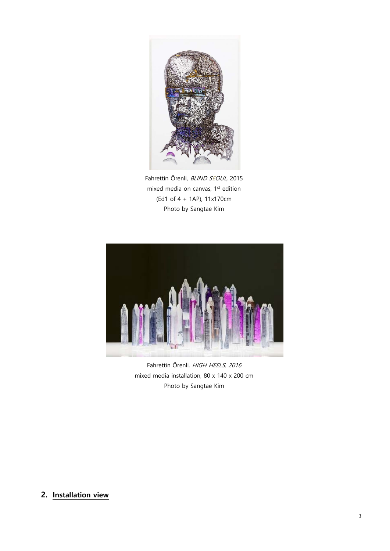

Fahrettin Örenli, BLIND SEOUL, 2015 mixed media on canvas, 1<sup>st</sup> edition (Ed1 of 4 + 1AP), 11x170cm Photo by Sangtae Kim



Fahrettin Örenli, HIGH HEELS, 2016 mixed media installation, 80 x 140 x 200 cm Photo by Sangtae Kim

## **2. Installation view**